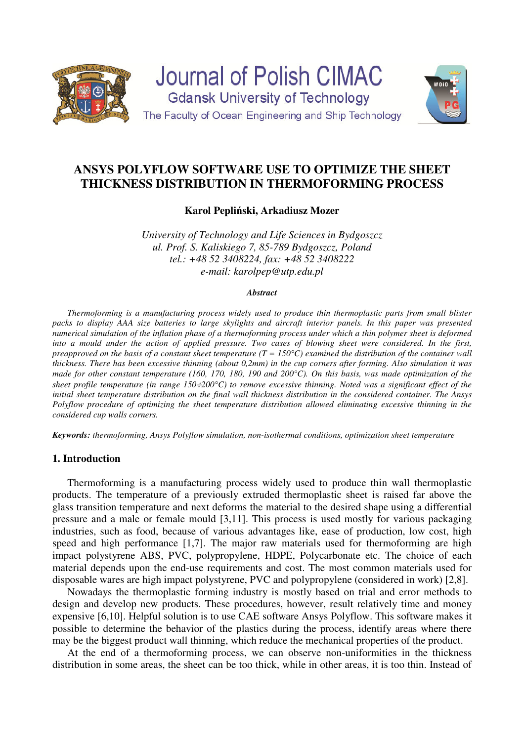



**Karol Pepliński, Arkadiusz Mozer** 

*University of Technology and Life Sciences in Bydgoszcz ul. Prof. S. Kaliskiego 7, 85-789 Bydgoszcz, Poland tel.: +48 52 3408224, fax: +48 52 3408222 e-mail: karolpep@utp.edu.pl* 

#### *Abstract*

*Thermoforming is a manufacturing process widely used to produce thin thermoplastic parts from small blister packs to display AAA size batteries to large skylights and aircraft interior panels. In this paper was presented numerical simulation of the inflation phase of a thermoforming process under which a thin polymer sheet is deformed into a mould under the action of applied pressure. Two cases of blowing sheet were considered. In the first, preapproved on the basis of a constant sheet temperature (T = 150* $^{\circ}$ *C) examined the distribution of the container wall thickness. There has been excessive thinning (about 0,2mm) in the cup corners after forming. Also simulation it was made for other constant temperature (160, 170, 180, 190 and 200°C). On this basis, was made optimization of the sheet profile temperature (in range 150*÷*200°C) to remove excessive thinning. Noted was a significant effect of the initial sheet temperature distribution on the final wall thickness distribution in the considered container. The Ansys Polyflow procedure of optimizing the sheet temperature distribution allowed eliminating excessive thinning in the considered cup walls corners.* 

*Keywords: thermoforming, Ansys Polyflow simulation, non-isothermal conditions, optimization sheet temperature* 

## **1. Introduction**

Thermoforming is a manufacturing process widely used to produce thin wall thermoplastic products. The temperature of a previously extruded thermoplastic sheet is raised far above the glass transition temperature and next deforms the material to the desired shape using a differential pressure and a male or female mould [3,11]. This process is used mostly for various packaging industries, such as food, because of various advantages like, ease of production, low cost, high speed and high performance [1,7]. The major raw materials used for thermoforming are high impact polystyrene ABS, PVC, polypropylene, HDPE, Polycarbonate etc. The choice of each material depends upon the end-use requirements and cost. The most common materials used for disposable wares are high impact polystyrene, PVC and polypropylene (considered in work) [2,8].

Nowadays the thermoplastic forming industry is mostly based on trial and error methods to design and develop new products. These procedures, however, result relatively time and money expensive [6,10]. Helpful solution is to use CAE software Ansys Polyflow. This software makes it possible to determine the behavior of the plastics during the process, identify areas where there may be the biggest product wall thinning, which reduce the mechanical properties of the product.

At the end of a thermoforming process, we can observe non-uniformities in the thickness distribution in some areas, the sheet can be too thick, while in other areas, it is too thin. Instead of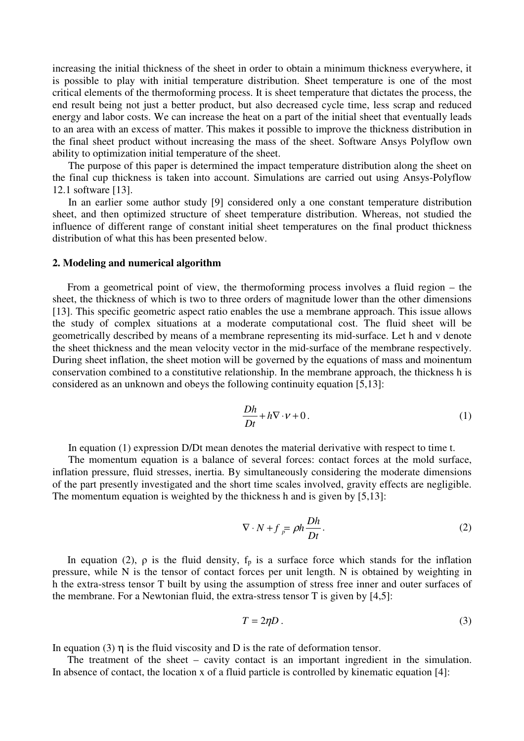increasing the initial thickness of the sheet in order to obtain a minimum thickness everywhere, it is possible to play with initial temperature distribution. Sheet temperature is one of the most critical elements of the thermoforming process. It is sheet temperature that dictates the process, the end result being not just a better product, but also decreased cycle time, less scrap and reduced energy and labor costs. We can increase the heat on a part of the initial sheet that eventually leads to an area with an excess of matter. This makes it possible to improve the thickness distribution in the final sheet product without increasing the mass of the sheet. Software Ansys Polyflow own ability to optimization initial temperature of the sheet.

The purpose of this paper is determined the impact temperature distribution along the sheet on the final cup thickness is taken into account. Simulations are carried out using Ansys-Polyflow 12.1 software [13].

In an earlier some author study [9] considered only a one constant temperature distribution sheet, and then optimized structure of sheet temperature distribution. Whereas, not studied the influence of different range of constant initial sheet temperatures on the final product thickness distribution of what this has been presented below.

#### **2. Modeling and numerical algorithm**

From a geometrical point of view, the thermoforming process involves a fluid region – the sheet, the thickness of which is two to three orders of magnitude lower than the other dimensions [13]. This specific geometric aspect ratio enables the use a membrane approach. This issue allows the study of complex situations at a moderate computational cost. The fluid sheet will be geometrically described by means of a membrane representing its mid-surface. Let h and v denote the sheet thickness and the mean velocity vector in the mid-surface of the membrane respectively. During sheet inflation, the sheet motion will be governed by the equations of mass and moinentum conservation combined to a constitutive relationship. In the membrane approach, the thickness h is considered as an unknown and obeys the following continuity equation [5,13]:

$$
\frac{Dh}{Dt} + h\nabla \cdot \mathbf{v} + 0. \tag{1}
$$

In equation (1) expression D/Dt mean denotes the material derivative with respect to time t.

The momentum equation is a balance of several forces: contact forces at the mold surface, inflation pressure, fluid stresses, inertia. By simultaneously considering the moderate dimensions of the part presently investigated and the short time scales involved, gravity effects are negligible. The momentum equation is weighted by the thickness h and is given by [5,13]:

$$
\nabla \cdot N + f = \rho h \frac{Dh}{Dt}.
$$
 (2)

In equation (2),  $\rho$  is the fluid density,  $f_p$  is a surface force which stands for the inflation pressure, while N is the tensor of contact forces per unit length. N is obtained by weighting in h the extra-stress tensor T built by using the assumption of stress free inner and outer surfaces of the membrane. For a Newtonian fluid, the extra-stress tensor T is given by [4,5]:

$$
T = 2\eta D \tag{3}
$$

In equation (3)  $\eta$  is the fluid viscosity and D is the rate of deformation tensor.

The treatment of the sheet – cavity contact is an important ingredient in the simulation. In absence of contact, the location x of a fluid particle is controlled by kinematic equation [4]: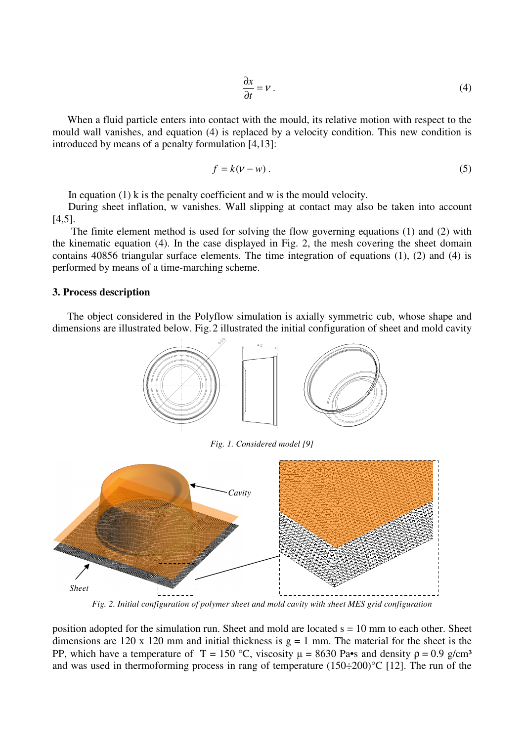$$
\frac{\partial x}{\partial t} = V \tag{4}
$$

When a fluid particle enters into contact with the mould, its relative motion with respect to the mould wall vanishes, and equation (4) is replaced by a velocity condition. This new condition is introduced by means of a penalty formulation [4,13]:

$$
f = k(\nu - w) \tag{5}
$$

In equation  $(1)$  k is the penalty coefficient and w is the mould velocity.

During sheet inflation, w vanishes. Wall slipping at contact may also be taken into account [4,5].

 The finite element method is used for solving the flow governing equations (1) and (2) with the kinematic equation (4). In the case displayed in Fig. 2, the mesh covering the sheet domain contains 40856 triangular surface elements. The time integration of equations (1), (2) and (4) is performed by means of a time-marching scheme.

#### **3. Process description**

The object considered in the Polyflow simulation is axially symmetric cub, whose shape and dimensions are illustrated below. Fig.2 illustrated the initial configuration of sheet and mold cavity



*Fig. 1. Considered model [9]* 



*Fig. 2. Initial configuration of polymer sheet and mold cavity with sheet MES grid configuration* 

position adopted for the simulation run. Sheet and mold are located  $s = 10$  mm to each other. Sheet dimensions are 120 x 120 mm and initial thickness is  $g = 1$  mm. The material for the sheet is the PP, which have a temperature of T = 150 °C, viscosity  $\mu = 8630$  Pa•s and density  $\rho = 0.9$  g/cm<sup>3</sup> and was used in thermoforming process in rang of temperature  $(150\div 200)$ °C [12]. The run of the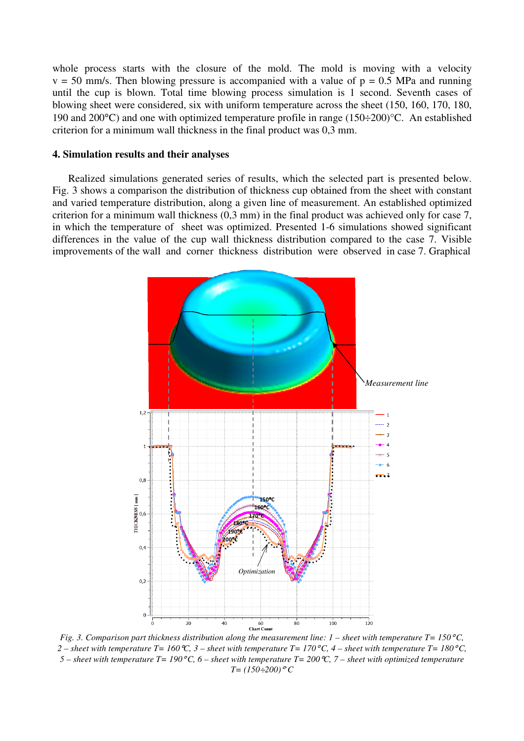whole process starts with the closure of the mold. The mold is moving with a velocity  $v = 50$  mm/s. Then blowing pressure is accompanied with a value of  $p = 0.5$  MPa and running until the cup is blown. Total time blowing process simulation is 1 second. Seventh cases of blowing sheet were considered, six with uniform temperature across the sheet (150, 160, 170, 180, 190 and 200°C) and one with optimized temperature profile in range (150÷200)°C. An established criterion for a minimum wall thickness in the final product was 0,3 mm.

### **4. Simulation results and their analyses**

Realized simulations generated series of results, which the selected part is presented below. Fig. 3 shows a comparison the distribution of thickness cup obtained from the sheet with constant and varied temperature distribution, along a given line of measurement. An established optimized criterion for a minimum wall thickness (0,3 mm) in the final product was achieved only for case 7, in which the temperature of sheet was optimized. Presented 1-6 simulations showed significant differences in the value of the cup wall thickness distribution compared to the case 7. Visible improvements of the wall and corner thickness distribution were observed in case 7. Graphical



*Fig. 3. Comparison part thickness distribution along the measurement line: 1 – sheet with temperature T= 150*°*C,* 2 – sheet with temperature  $T=160\text{ °C}$ , 3 – sheet with temperature  $T=170\text{ °C}$ , 4 – sheet with temperature  $T=180\text{ °C}$ , *5 – sheet with temperature T= 190*°*C, 6 – sheet with temperature T= 200*°*C, 7 – sheet with optimized temperature*   $T = (150 \div 200)$ <sup>°</sup>C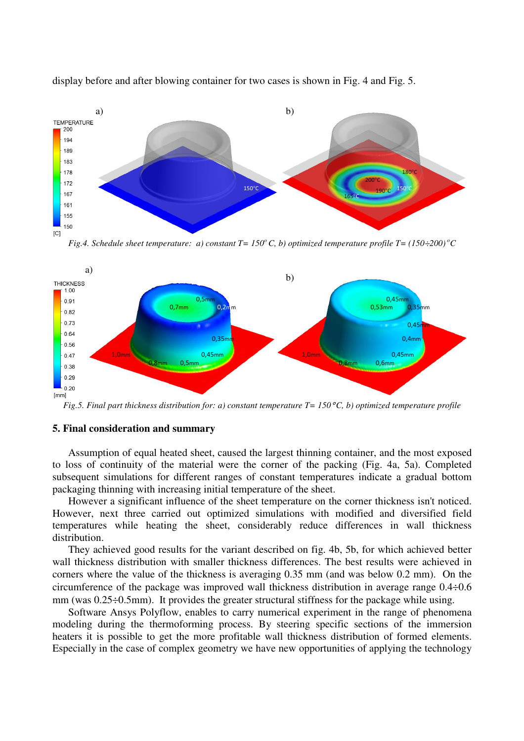

display before and after blowing container for two cases is shown in Fig. 4 and Fig. 5.

*Fig.4. Schedule sheet temperature: a) constant*  $T = 150^{\circ}$ *C, b) optimized temperature profile*  $T = (150 \div 200)^{\circ}$ *C* 



*Fig.5. Final part thickness distribution for: a) constant temperature T= 150*°*C, b) optimized temperature profile* 

# **5. Final consideration and summary**

Assumption of equal heated sheet, caused the largest thinning container, and the most exposed to loss of continuity of the material were the corner of the packing (Fig. 4a, 5a). Completed subsequent simulations for different ranges of constant temperatures indicate a gradual bottom packaging thinning with increasing initial temperature of the sheet.

However a significant influence of the sheet temperature on the corner thickness isn't noticed. However, next three carried out optimized simulations with modified and diversified field temperatures while heating the sheet, considerably reduce differences in wall thickness distribution.

They achieved good results for the variant described on fig. 4b, 5b, for which achieved better wall thickness distribution with smaller thickness differences. The best results were achieved in corners where the value of the thickness is averaging 0.35 mm (and was below 0.2 mm). On the circumference of the package was improved wall thickness distribution in average range 0.4÷0.6 mm (was 0.25÷0.5mm). It provides the greater structural stiffness for the package while using.

Software Ansys Polyflow, enables to carry numerical experiment in the range of phenomena modeling during the thermoforming process. By steering specific sections of the immersion heaters it is possible to get the more profitable wall thickness distribution of formed elements. Especially in the case of complex geometry we have new opportunities of applying the technology